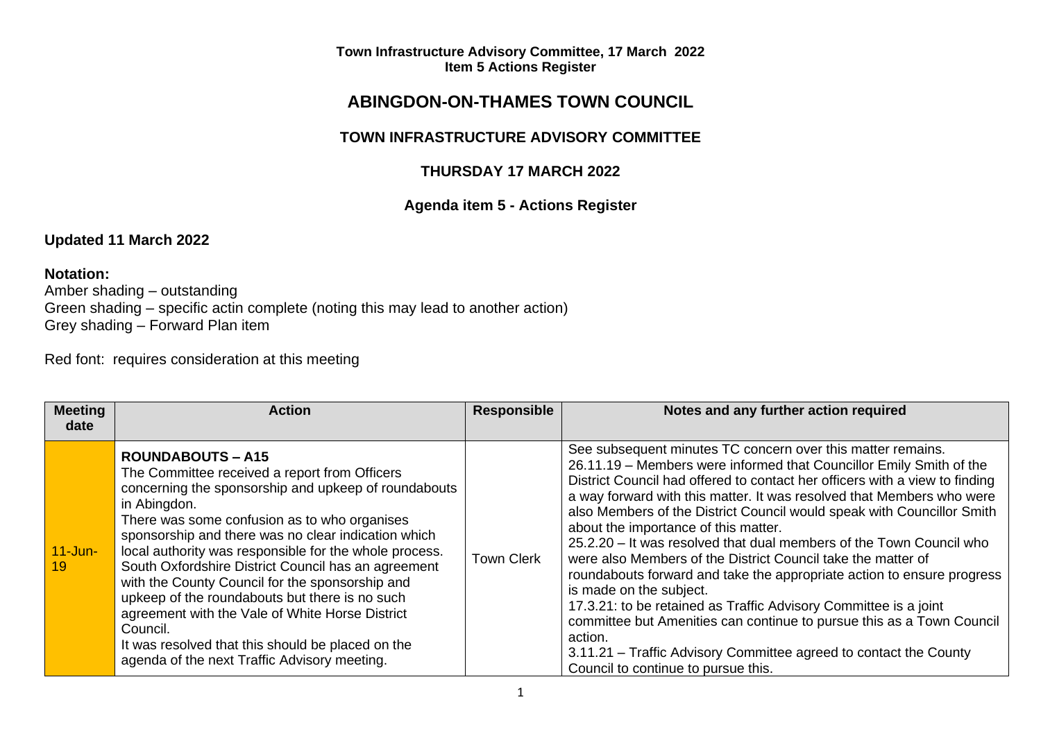# **ABINGDON-ON-THAMES TOWN COUNCIL**

# **TOWN INFRASTRUCTURE ADVISORY COMMITTEE**

# **THURSDAY 17 MARCH 2022**

# **Agenda item 5 - Actions Register**

# **Updated 11 March 2022**

# **Notation:**

Amber shading – outstanding Green shading – specific actin complete (noting this may lead to another action) Grey shading – Forward Plan item

Red font: requires consideration at this meeting

| <b>Meeting</b>                | <b>Action</b>                                                                                                                                                                                                                                                                                                                                                                                                                | <b>Responsible</b> | Notes and any further action required                                                                                                                                                                                                                                                                                                                                                                                                                                                                                                                                                                                         |
|-------------------------------|------------------------------------------------------------------------------------------------------------------------------------------------------------------------------------------------------------------------------------------------------------------------------------------------------------------------------------------------------------------------------------------------------------------------------|--------------------|-------------------------------------------------------------------------------------------------------------------------------------------------------------------------------------------------------------------------------------------------------------------------------------------------------------------------------------------------------------------------------------------------------------------------------------------------------------------------------------------------------------------------------------------------------------------------------------------------------------------------------|
| date<br>$11$ -Jun- $7$<br>-19 | <b>ROUNDABOUTS - A15</b><br>The Committee received a report from Officers<br>concerning the sponsorship and upkeep of roundabouts<br>in Abingdon.<br>There was some confusion as to who organises<br>sponsorship and there was no clear indication which<br>local authority was responsible for the whole process.<br>South Oxfordshire District Council has an agreement<br>with the County Council for the sponsorship and | <b>Town Clerk</b>  | See subsequent minutes TC concern over this matter remains.<br>26.11.19 - Members were informed that Councillor Emily Smith of the<br>District Council had offered to contact her officers with a view to finding<br>a way forward with this matter. It was resolved that Members who were<br>also Members of the District Council would speak with Councillor Smith<br>about the importance of this matter.<br>25.2.20 - It was resolved that dual members of the Town Council who<br>were also Members of the District Council take the matter of<br>roundabouts forward and take the appropriate action to ensure progress |
|                               | upkeep of the roundabouts but there is no such<br>agreement with the Vale of White Horse District<br>Council.<br>It was resolved that this should be placed on the<br>agenda of the next Traffic Advisory meeting.                                                                                                                                                                                                           |                    | is made on the subject.<br>17.3.21: to be retained as Traffic Advisory Committee is a joint<br>committee but Amenities can continue to pursue this as a Town Council<br>action.<br>3.11.21 – Traffic Advisory Committee agreed to contact the County<br>Council to continue to pursue this.                                                                                                                                                                                                                                                                                                                                   |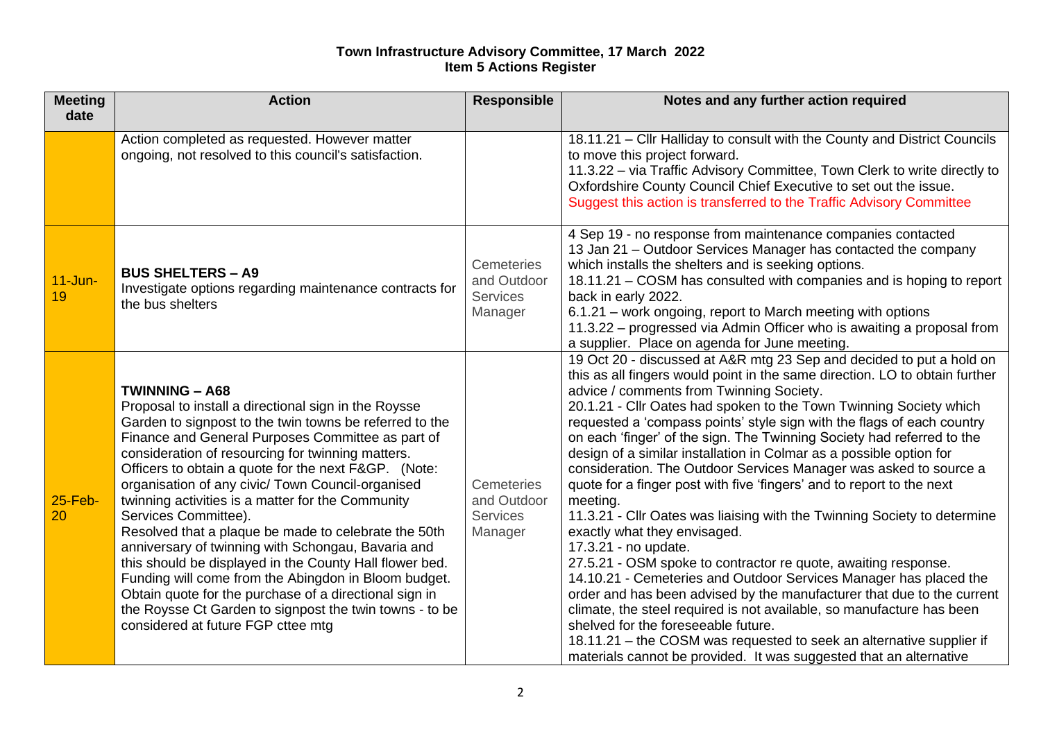| <b>Meeting</b><br>date | <b>Action</b>                                                                                                                                                                                                                                                                                                                                                                                                                                                                                                                                                                                                                                                                                                                                                                                                                            | <b>Responsible</b>                                             | Notes and any further action required                                                                                                                                                                                                                                                                                                                                                                                                                                                                                                                                                                                                                                                                                                                                                                                                                                                                                                                                                                                                                                                                                                                                                                                                                                         |
|------------------------|------------------------------------------------------------------------------------------------------------------------------------------------------------------------------------------------------------------------------------------------------------------------------------------------------------------------------------------------------------------------------------------------------------------------------------------------------------------------------------------------------------------------------------------------------------------------------------------------------------------------------------------------------------------------------------------------------------------------------------------------------------------------------------------------------------------------------------------|----------------------------------------------------------------|-------------------------------------------------------------------------------------------------------------------------------------------------------------------------------------------------------------------------------------------------------------------------------------------------------------------------------------------------------------------------------------------------------------------------------------------------------------------------------------------------------------------------------------------------------------------------------------------------------------------------------------------------------------------------------------------------------------------------------------------------------------------------------------------------------------------------------------------------------------------------------------------------------------------------------------------------------------------------------------------------------------------------------------------------------------------------------------------------------------------------------------------------------------------------------------------------------------------------------------------------------------------------------|
|                        | Action completed as requested. However matter<br>ongoing, not resolved to this council's satisfaction.                                                                                                                                                                                                                                                                                                                                                                                                                                                                                                                                                                                                                                                                                                                                   |                                                                | 18.11.21 - Cllr Halliday to consult with the County and District Councils<br>to move this project forward.<br>11.3.22 - via Traffic Advisory Committee, Town Clerk to write directly to<br>Oxfordshire County Council Chief Executive to set out the issue.<br>Suggest this action is transferred to the Traffic Advisory Committee                                                                                                                                                                                                                                                                                                                                                                                                                                                                                                                                                                                                                                                                                                                                                                                                                                                                                                                                           |
| $11$ -Jun-<br>19       | <b>BUS SHELTERS - A9</b><br>Investigate options regarding maintenance contracts for<br>the bus shelters                                                                                                                                                                                                                                                                                                                                                                                                                                                                                                                                                                                                                                                                                                                                  | <b>Cemeteries</b><br>and Outdoor<br><b>Services</b><br>Manager | 4 Sep 19 - no response from maintenance companies contacted<br>13 Jan 21 – Outdoor Services Manager has contacted the company<br>which installs the shelters and is seeking options.<br>18.11.21 - COSM has consulted with companies and is hoping to report<br>back in early 2022.<br>6.1.21 – work ongoing, report to March meeting with options<br>11.3.22 - progressed via Admin Officer who is awaiting a proposal from<br>a supplier. Place on agenda for June meeting.                                                                                                                                                                                                                                                                                                                                                                                                                                                                                                                                                                                                                                                                                                                                                                                                 |
| $25$ -Feb-<br>20       | <b>TWINNING - A68</b><br>Proposal to install a directional sign in the Roysse<br>Garden to signpost to the twin towns be referred to the<br>Finance and General Purposes Committee as part of<br>consideration of resourcing for twinning matters.<br>Officers to obtain a quote for the next F&GP. (Note:<br>organisation of any civic/ Town Council-organised<br>twinning activities is a matter for the Community<br>Services Committee).<br>Resolved that a plaque be made to celebrate the 50th<br>anniversary of twinning with Schongau, Bavaria and<br>this should be displayed in the County Hall flower bed.<br>Funding will come from the Abingdon in Bloom budget.<br>Obtain quote for the purchase of a directional sign in<br>the Roysse Ct Garden to signpost the twin towns - to be<br>considered at future FGP cttee mtg | <b>Cemeteries</b><br>and Outdoor<br><b>Services</b><br>Manager | 19 Oct 20 - discussed at A&R mtg 23 Sep and decided to put a hold on<br>this as all fingers would point in the same direction. LO to obtain further<br>advice / comments from Twinning Society.<br>20.1.21 - Cllr Oates had spoken to the Town Twinning Society which<br>requested a 'compass points' style sign with the flags of each country<br>on each 'finger' of the sign. The Twinning Society had referred to the<br>design of a similar installation in Colmar as a possible option for<br>consideration. The Outdoor Services Manager was asked to source a<br>quote for a finger post with five 'fingers' and to report to the next<br>meeting.<br>11.3.21 - Cllr Oates was liaising with the Twinning Society to determine<br>exactly what they envisaged.<br>17.3.21 - no update.<br>27.5.21 - OSM spoke to contractor re quote, awaiting response.<br>14.10.21 - Cemeteries and Outdoor Services Manager has placed the<br>order and has been advised by the manufacturer that due to the current<br>climate, the steel required is not available, so manufacture has been<br>shelved for the foreseeable future.<br>18.11.21 - the COSM was requested to seek an alternative supplier if<br>materials cannot be provided. It was suggested that an alternative |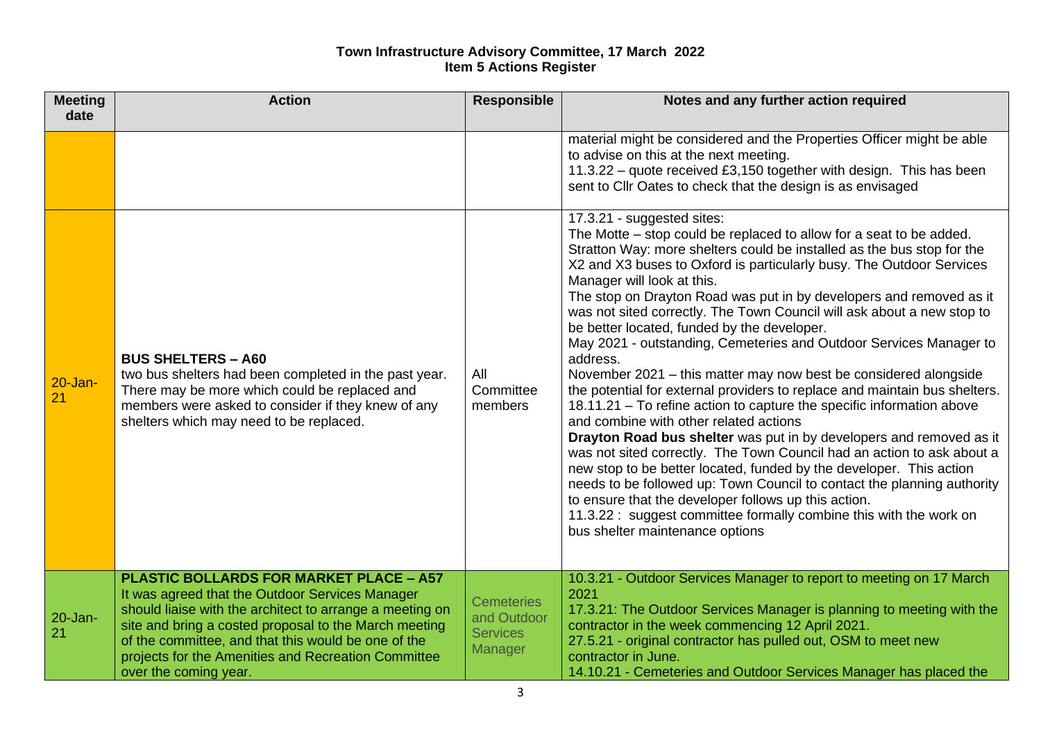| <b>Meeting</b><br>date | <b>Action</b>                                                                                                                                                                                                                                                                                                                                                 | <b>Responsible</b>                                             | Notes and any further action required                                                                                                                                                                                                                                                                                                                                                                                                                                                                                                                                                                                                                                                                                                                                                                                                                                                                                                                                                                                                                                                                                                                                                                                                                                                                        |
|------------------------|---------------------------------------------------------------------------------------------------------------------------------------------------------------------------------------------------------------------------------------------------------------------------------------------------------------------------------------------------------------|----------------------------------------------------------------|--------------------------------------------------------------------------------------------------------------------------------------------------------------------------------------------------------------------------------------------------------------------------------------------------------------------------------------------------------------------------------------------------------------------------------------------------------------------------------------------------------------------------------------------------------------------------------------------------------------------------------------------------------------------------------------------------------------------------------------------------------------------------------------------------------------------------------------------------------------------------------------------------------------------------------------------------------------------------------------------------------------------------------------------------------------------------------------------------------------------------------------------------------------------------------------------------------------------------------------------------------------------------------------------------------------|
|                        |                                                                                                                                                                                                                                                                                                                                                               |                                                                | material might be considered and the Properties Officer might be able<br>to advise on this at the next meeting.<br>11.3.22 - quote received £3,150 together with design. This has been<br>sent to Cllr Oates to check that the design is as envisaged                                                                                                                                                                                                                                                                                                                                                                                                                                                                                                                                                                                                                                                                                                                                                                                                                                                                                                                                                                                                                                                        |
| $20 - Jan -$<br>21     | <b>BUS SHELTERS - A60</b><br>two bus shelters had been completed in the past year.<br>There may be more which could be replaced and<br>members were asked to consider if they knew of any<br>shelters which may need to be replaced.                                                                                                                          | All<br>Committee<br>members                                    | 17.3.21 - suggested sites:<br>The Motte – stop could be replaced to allow for a seat to be added.<br>Stratton Way: more shelters could be installed as the bus stop for the<br>X2 and X3 buses to Oxford is particularly busy. The Outdoor Services<br>Manager will look at this.<br>The stop on Drayton Road was put in by developers and removed as it<br>was not sited correctly. The Town Council will ask about a new stop to<br>be better located, funded by the developer.<br>May 2021 - outstanding, Cemeteries and Outdoor Services Manager to<br>address.<br>November 2021 - this matter may now best be considered alongside<br>the potential for external providers to replace and maintain bus shelters.<br>18.11.21 - To refine action to capture the specific information above<br>and combine with other related actions<br>Drayton Road bus shelter was put in by developers and removed as it<br>was not sited correctly. The Town Council had an action to ask about a<br>new stop to be better located, funded by the developer. This action<br>needs to be followed up: Town Council to contact the planning authority<br>to ensure that the developer follows up this action.<br>11.3.22 : suggest committee formally combine this with the work on<br>bus shelter maintenance options |
| 20-Jan-<br>21          | <b>PLASTIC BOLLARDS FOR MARKET PLACE - A57</b><br>It was agreed that the Outdoor Services Manager<br>should liaise with the architect to arrange a meeting on<br>site and bring a costed proposal to the March meeting<br>of the committee, and that this would be one of the<br>projects for the Amenities and Recreation Committee<br>over the coming year. | <b>Cemeteries</b><br>and Outdoor<br><b>Services</b><br>Manager | 10.3.21 - Outdoor Services Manager to report to meeting on 17 March<br>2021<br>17.3.21: The Outdoor Services Manager is planning to meeting with the<br>contractor in the week commencing 12 April 2021.<br>27.5.21 - original contractor has pulled out, OSM to meet new<br>contractor in June.<br>14.10.21 - Cemeteries and Outdoor Services Manager has placed the                                                                                                                                                                                                                                                                                                                                                                                                                                                                                                                                                                                                                                                                                                                                                                                                                                                                                                                                        |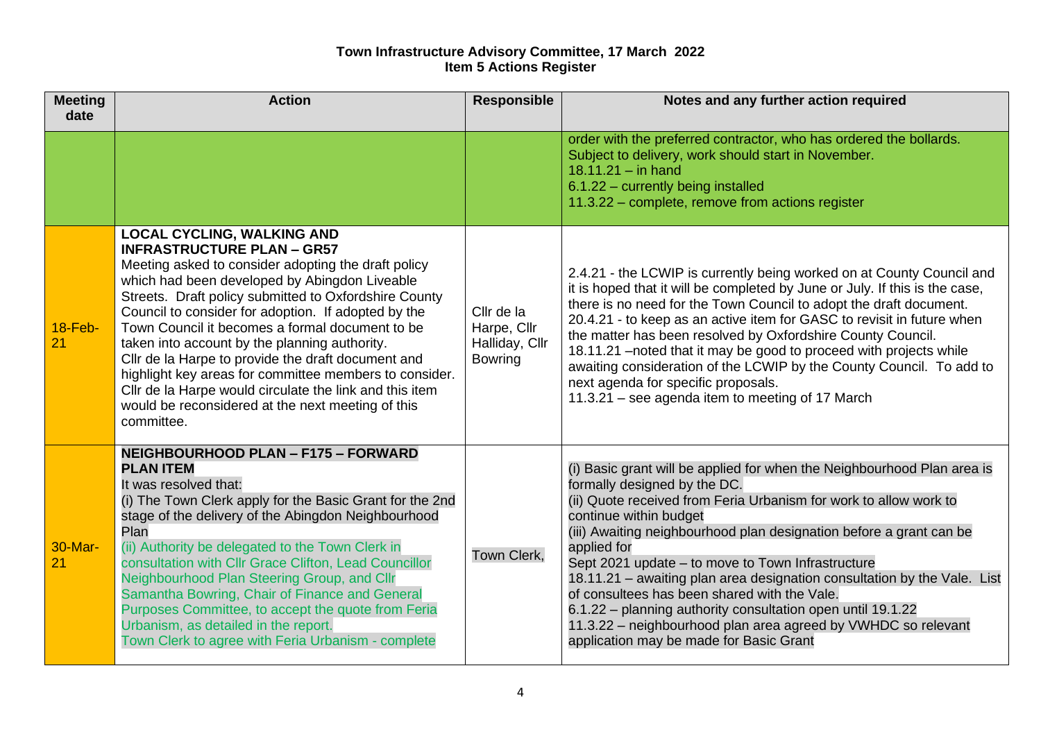| <b>Meeting</b><br>date | <b>Action</b>                                                                                                                                                                                                                                                                                                                                                                                                                                                                                                                                                                                                                                    | <b>Responsible</b>                                            | Notes and any further action required                                                                                                                                                                                                                                                                                                                                                                                                                                                                                                                                                                                                                    |
|------------------------|--------------------------------------------------------------------------------------------------------------------------------------------------------------------------------------------------------------------------------------------------------------------------------------------------------------------------------------------------------------------------------------------------------------------------------------------------------------------------------------------------------------------------------------------------------------------------------------------------------------------------------------------------|---------------------------------------------------------------|----------------------------------------------------------------------------------------------------------------------------------------------------------------------------------------------------------------------------------------------------------------------------------------------------------------------------------------------------------------------------------------------------------------------------------------------------------------------------------------------------------------------------------------------------------------------------------------------------------------------------------------------------------|
|                        |                                                                                                                                                                                                                                                                                                                                                                                                                                                                                                                                                                                                                                                  |                                                               | order with the preferred contractor, who has ordered the bollards.<br>Subject to delivery, work should start in November.<br>$18.11.21 - in hand$<br>6.1.22 - currently being installed<br>11.3.22 - complete, remove from actions register                                                                                                                                                                                                                                                                                                                                                                                                              |
| $18-Feb-$<br>21        | <b>LOCAL CYCLING, WALKING AND</b><br><b>INFRASTRUCTURE PLAN - GR57</b><br>Meeting asked to consider adopting the draft policy<br>which had been developed by Abingdon Liveable<br>Streets. Draft policy submitted to Oxfordshire County<br>Council to consider for adoption. If adopted by the<br>Town Council it becomes a formal document to be<br>taken into account by the planning authority.<br>Cllr de la Harpe to provide the draft document and<br>highlight key areas for committee members to consider.<br>Cllr de la Harpe would circulate the link and this item<br>would be reconsidered at the next meeting of this<br>committee. | Cllr de la<br>Harpe, Cllr<br>Halliday, Cllr<br><b>Bowring</b> | 2.4.21 - the LCWIP is currently being worked on at County Council and<br>it is hoped that it will be completed by June or July. If this is the case,<br>there is no need for the Town Council to adopt the draft document.<br>20.4.21 - to keep as an active item for GASC to revisit in future when<br>the matter has been resolved by Oxfordshire County Council.<br>18.11.21 - noted that it may be good to proceed with projects while<br>awaiting consideration of the LCWIP by the County Council. To add to<br>next agenda for specific proposals.<br>11.3.21 - see agenda item to meeting of 17 March                                            |
| 30-Mar-<br>21          | <b>NEIGHBOURHOOD PLAN - F175 - FORWARD</b><br><b>PLAN ITEM</b><br>It was resolved that:<br>(i) The Town Clerk apply for the Basic Grant for the 2nd<br>stage of the delivery of the Abingdon Neighbourhood<br>Plan<br>(ii) Authority be delegated to the Town Clerk in<br>consultation with Cllr Grace Clifton, Lead Councillor<br>Neighbourhood Plan Steering Group, and Cllr<br>Samantha Bowring, Chair of Finance and General<br>Purposes Committee, to accept the quote from Feria<br>Urbanism, as detailed in the report.<br>Town Clerk to agree with Feria Urbanism - complete                                                             | Town Clerk,                                                   | (i) Basic grant will be applied for when the Neighbourhood Plan area is<br>formally designed by the DC.<br>(ii) Quote received from Feria Urbanism for work to allow work to<br>continue within budget<br>(iii) Awaiting neighbourhood plan designation before a grant can be<br>applied for<br>Sept 2021 update - to move to Town Infrastructure<br>18.11.21 - awaiting plan area designation consultation by the Vale. List<br>of consultees has been shared with the Vale.<br>6.1.22 - planning authority consultation open until 19.1.22<br>11.3.22 - neighbourhood plan area agreed by VWHDC so relevant<br>application may be made for Basic Grant |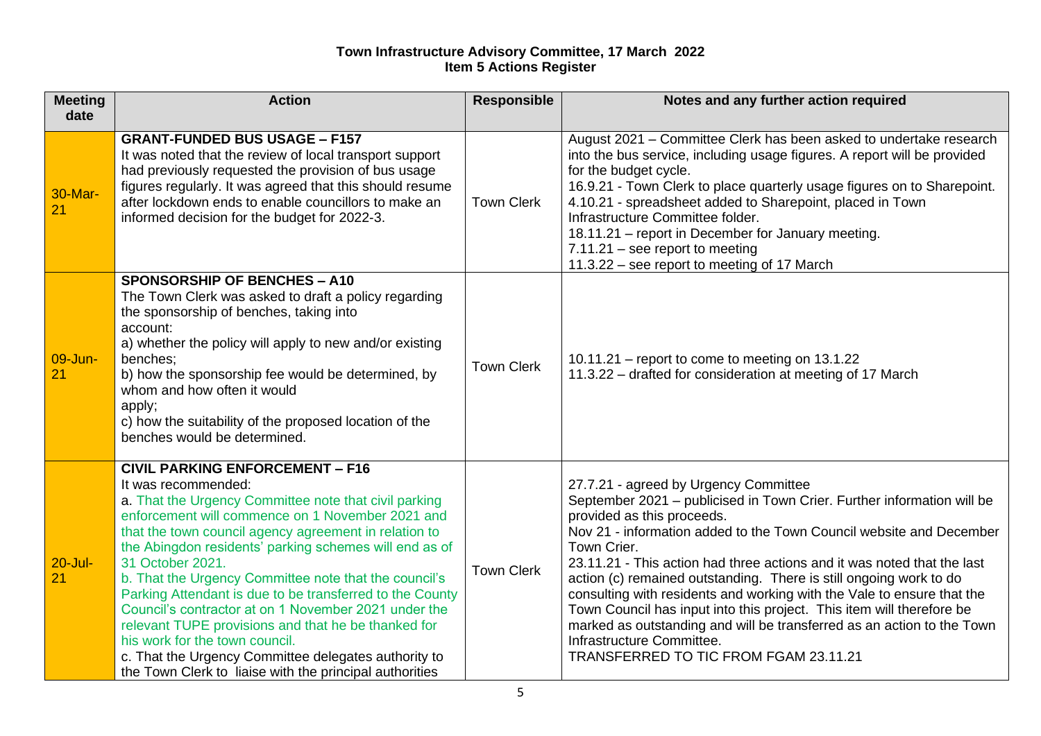| <b>Meeting</b>    | <b>Action</b>                                                                                                                                                                                                                                                                                                                                                                                                                                                                                                                                                                                                                                                                                              | <b>Responsible</b> | Notes and any further action required                                                                                                                                                                                                                                                                                                                                                                                                                                                                                                                                                                                                                                                   |
|-------------------|------------------------------------------------------------------------------------------------------------------------------------------------------------------------------------------------------------------------------------------------------------------------------------------------------------------------------------------------------------------------------------------------------------------------------------------------------------------------------------------------------------------------------------------------------------------------------------------------------------------------------------------------------------------------------------------------------------|--------------------|-----------------------------------------------------------------------------------------------------------------------------------------------------------------------------------------------------------------------------------------------------------------------------------------------------------------------------------------------------------------------------------------------------------------------------------------------------------------------------------------------------------------------------------------------------------------------------------------------------------------------------------------------------------------------------------------|
| date              |                                                                                                                                                                                                                                                                                                                                                                                                                                                                                                                                                                                                                                                                                                            |                    |                                                                                                                                                                                                                                                                                                                                                                                                                                                                                                                                                                                                                                                                                         |
| 30-Mar-<br>21     | <b>GRANT-FUNDED BUS USAGE - F157</b><br>It was noted that the review of local transport support<br>had previously requested the provision of bus usage<br>figures regularly. It was agreed that this should resume<br>after lockdown ends to enable councillors to make an<br>informed decision for the budget for 2022-3.                                                                                                                                                                                                                                                                                                                                                                                 | <b>Town Clerk</b>  | August 2021 – Committee Clerk has been asked to undertake research<br>into the bus service, including usage figures. A report will be provided<br>for the budget cycle.<br>16.9.21 - Town Clerk to place quarterly usage figures on to Sharepoint.<br>4.10.21 - spreadsheet added to Sharepoint, placed in Town<br>Infrastructure Committee folder.<br>18.11.21 - report in December for January meeting.<br>$7.11.21$ – see report to meeting<br>11.3.22 – see report to meeting of 17 March                                                                                                                                                                                           |
| 09-Jun-<br>21     | <b>SPONSORSHIP OF BENCHES - A10</b><br>The Town Clerk was asked to draft a policy regarding<br>the sponsorship of benches, taking into<br>account:<br>a) whether the policy will apply to new and/or existing<br>benches:<br>b) how the sponsorship fee would be determined, by<br>whom and how often it would<br>apply;<br>c) how the suitability of the proposed location of the<br>benches would be determined.                                                                                                                                                                                                                                                                                         | <b>Town Clerk</b>  | $10.11.21$ – report to come to meeting on 13.1.22<br>11.3.22 – drafted for consideration at meeting of 17 March                                                                                                                                                                                                                                                                                                                                                                                                                                                                                                                                                                         |
| $20 -$ Jul-<br>21 | <b>CIVIL PARKING ENFORCEMENT - F16</b><br>It was recommended:<br>a. That the Urgency Committee note that civil parking<br>enforcement will commence on 1 November 2021 and<br>that the town council agency agreement in relation to<br>the Abingdon residents' parking schemes will end as of<br>31 October 2021.<br>b. That the Urgency Committee note that the council's<br>Parking Attendant is due to be transferred to the County<br>Council's contractor at on 1 November 2021 under the<br>relevant TUPE provisions and that he be thanked for<br>his work for the town council.<br>c. That the Urgency Committee delegates authority to<br>the Town Clerk to liaise with the principal authorities | <b>Town Clerk</b>  | 27.7.21 - agreed by Urgency Committee<br>September 2021 - publicised in Town Crier. Further information will be<br>provided as this proceeds.<br>Nov 21 - information added to the Town Council website and December<br>Town Crier.<br>23.11.21 - This action had three actions and it was noted that the last<br>action (c) remained outstanding. There is still ongoing work to do<br>consulting with residents and working with the Vale to ensure that the<br>Town Council has input into this project. This item will therefore be<br>marked as outstanding and will be transferred as an action to the Town<br>Infrastructure Committee.<br>TRANSFERRED TO TIC FROM FGAM 23.11.21 |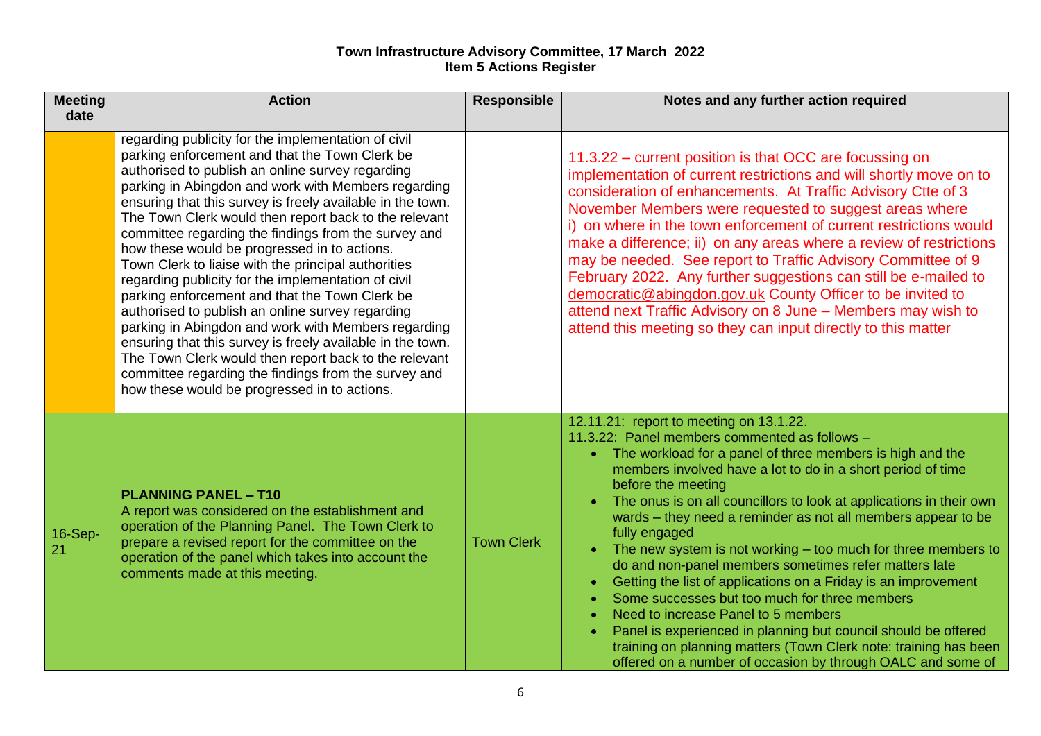| <b>Meeting</b><br>date | <b>Action</b>                                                                                                                                                                                                                                                                                                                                                                                                                                                                                                                                                                                                                                                                                                                                                                                                                                                                                                                                             | <b>Responsible</b> | Notes and any further action required                                                                                                                                                                                                                                                                                                                                                                                                                                                                                                                                                                                                                                                                                                                                                                                                                                                                                                             |
|------------------------|-----------------------------------------------------------------------------------------------------------------------------------------------------------------------------------------------------------------------------------------------------------------------------------------------------------------------------------------------------------------------------------------------------------------------------------------------------------------------------------------------------------------------------------------------------------------------------------------------------------------------------------------------------------------------------------------------------------------------------------------------------------------------------------------------------------------------------------------------------------------------------------------------------------------------------------------------------------|--------------------|---------------------------------------------------------------------------------------------------------------------------------------------------------------------------------------------------------------------------------------------------------------------------------------------------------------------------------------------------------------------------------------------------------------------------------------------------------------------------------------------------------------------------------------------------------------------------------------------------------------------------------------------------------------------------------------------------------------------------------------------------------------------------------------------------------------------------------------------------------------------------------------------------------------------------------------------------|
|                        | regarding publicity for the implementation of civil<br>parking enforcement and that the Town Clerk be<br>authorised to publish an online survey regarding<br>parking in Abingdon and work with Members regarding<br>ensuring that this survey is freely available in the town.<br>The Town Clerk would then report back to the relevant<br>committee regarding the findings from the survey and<br>how these would be progressed in to actions.<br>Town Clerk to liaise with the principal authorities<br>regarding publicity for the implementation of civil<br>parking enforcement and that the Town Clerk be<br>authorised to publish an online survey regarding<br>parking in Abingdon and work with Members regarding<br>ensuring that this survey is freely available in the town.<br>The Town Clerk would then report back to the relevant<br>committee regarding the findings from the survey and<br>how these would be progressed in to actions. |                    | 11.3.22 – current position is that OCC are focussing on<br>implementation of current restrictions and will shortly move on to<br>consideration of enhancements. At Traffic Advisory Ctte of 3<br>November Members were requested to suggest areas where<br>i) on where in the town enforcement of current restrictions would<br>make a difference; ii) on any areas where a review of restrictions<br>may be needed. See report to Traffic Advisory Committee of 9<br>February 2022. Any further suggestions can still be e-mailed to<br>democratic@abingdon.gov.uk County Officer to be invited to<br>attend next Traffic Advisory on 8 June - Members may wish to<br>attend this meeting so they can input directly to this matter                                                                                                                                                                                                              |
| <b>16-Sep-</b><br>21   | <b>PLANNING PANEL - T10</b><br>A report was considered on the establishment and<br>operation of the Planning Panel. The Town Clerk to<br>prepare a revised report for the committee on the<br>operation of the panel which takes into account the<br>comments made at this meeting.                                                                                                                                                                                                                                                                                                                                                                                                                                                                                                                                                                                                                                                                       | <b>Town Clerk</b>  | 12.11.21: report to meeting on 13.1.22.<br>11.3.22: Panel members commented as follows -<br>The workload for a panel of three members is high and the<br>members involved have a lot to do in a short period of time<br>before the meeting<br>The onus is on all councillors to look at applications in their own<br>wards - they need a reminder as not all members appear to be<br>fully engaged<br>The new system is not working $-$ too much for three members to<br>do and non-panel members sometimes refer matters late<br>Getting the list of applications on a Friday is an improvement<br>$\bullet$<br>Some successes but too much for three members<br>$\bullet$<br>Need to increase Panel to 5 members<br>$\bullet$<br>Panel is experienced in planning but council should be offered<br>$\bullet$<br>training on planning matters (Town Clerk note: training has been<br>offered on a number of occasion by through OALC and some of |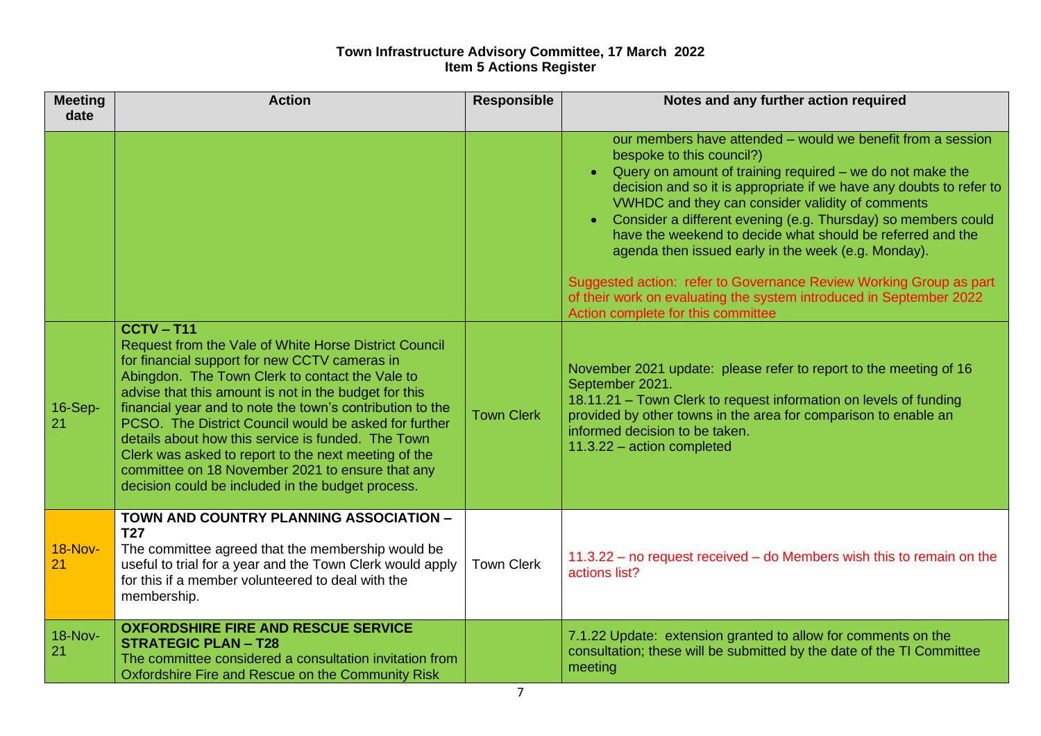| <b>Meeting</b><br>date | <b>Action</b>                                                                                                                                                                                                                                                                                                                                                                                                                                                                                                                                                                   | <b>Responsible</b> | Notes and any further action required                                                                                                                                                                                                                                                                                                                                                                                                                                                                                                                                                                                                                                  |
|------------------------|---------------------------------------------------------------------------------------------------------------------------------------------------------------------------------------------------------------------------------------------------------------------------------------------------------------------------------------------------------------------------------------------------------------------------------------------------------------------------------------------------------------------------------------------------------------------------------|--------------------|------------------------------------------------------------------------------------------------------------------------------------------------------------------------------------------------------------------------------------------------------------------------------------------------------------------------------------------------------------------------------------------------------------------------------------------------------------------------------------------------------------------------------------------------------------------------------------------------------------------------------------------------------------------------|
|                        |                                                                                                                                                                                                                                                                                                                                                                                                                                                                                                                                                                                 |                    | our members have attended – would we benefit from a session<br>bespoke to this council?)<br>Query on amount of training required – we do not make the<br>decision and so it is appropriate if we have any doubts to refer to<br>VWHDC and they can consider validity of comments<br>Consider a different evening (e.g. Thursday) so members could<br>$\bullet$<br>have the weekend to decide what should be referred and the<br>agenda then issued early in the week (e.g. Monday).<br>Suggested action: refer to Governance Review Working Group as part<br>of their work on evaluating the system introduced in September 2022<br>Action complete for this committee |
| 16-Sep-<br>21          | $CCTV - T11$<br>Request from the Vale of White Horse District Council<br>for financial support for new CCTV cameras in<br>Abingdon. The Town Clerk to contact the Vale to<br>advise that this amount is not in the budget for this<br>financial year and to note the town's contribution to the<br>PCSO. The District Council would be asked for further<br>details about how this service is funded. The Town<br>Clerk was asked to report to the next meeting of the<br>committee on 18 November 2021 to ensure that any<br>decision could be included in the budget process. | <b>Town Clerk</b>  | November 2021 update: please refer to report to the meeting of 16<br>September 2021.<br>18.11.21 - Town Clerk to request information on levels of funding<br>provided by other towns in the area for comparison to enable an<br>informed decision to be taken.<br>11.3.22 - action completed                                                                                                                                                                                                                                                                                                                                                                           |
| <b>18-Nov-</b><br>21   | TOWN AND COUNTRY PLANNING ASSOCIATION -<br><b>T27</b><br>The committee agreed that the membership would be<br>useful to trial for a year and the Town Clerk would apply<br>for this if a member volunteered to deal with the<br>membership.                                                                                                                                                                                                                                                                                                                                     | <b>Town Clerk</b>  | $11.3.22 -$ no request received $-$ do Members wish this to remain on the<br>actions list?                                                                                                                                                                                                                                                                                                                                                                                                                                                                                                                                                                             |
| <b>18-Nov-</b><br>21   | <b>OXFORDSHIRE FIRE AND RESCUE SERVICE</b><br><b>STRATEGIC PLAN - T28</b><br>The committee considered a consultation invitation from<br>Oxfordshire Fire and Rescue on the Community Risk                                                                                                                                                                                                                                                                                                                                                                                       |                    | 7.1.22 Update: extension granted to allow for comments on the<br>consultation; these will be submitted by the date of the TI Committee<br>meeting                                                                                                                                                                                                                                                                                                                                                                                                                                                                                                                      |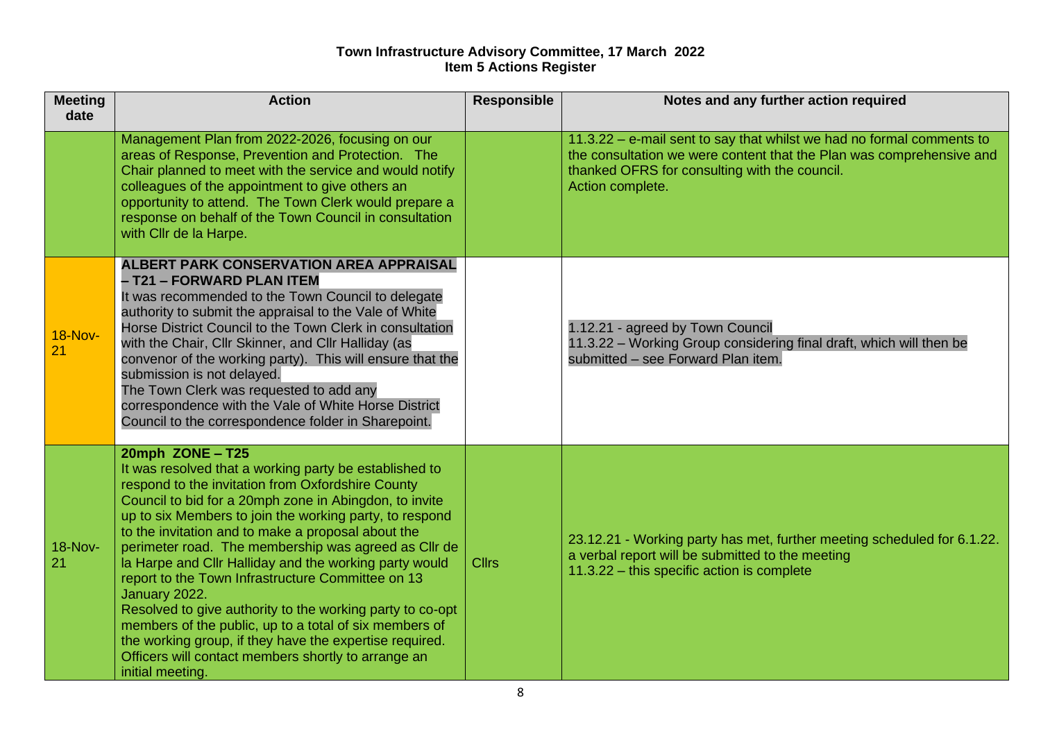| <b>Meeting</b><br>date | <b>Action</b>                                                                                                                                                                                                                                                                                                                                                                                                                                                                                                                                                                                                                                                                                                                                                   | <b>Responsible</b> | Notes and any further action required                                                                                                                                                                              |
|------------------------|-----------------------------------------------------------------------------------------------------------------------------------------------------------------------------------------------------------------------------------------------------------------------------------------------------------------------------------------------------------------------------------------------------------------------------------------------------------------------------------------------------------------------------------------------------------------------------------------------------------------------------------------------------------------------------------------------------------------------------------------------------------------|--------------------|--------------------------------------------------------------------------------------------------------------------------------------------------------------------------------------------------------------------|
|                        | Management Plan from 2022-2026, focusing on our<br>areas of Response, Prevention and Protection. The<br>Chair planned to meet with the service and would notify<br>colleagues of the appointment to give others an<br>opportunity to attend. The Town Clerk would prepare a<br>response on behalf of the Town Council in consultation<br>with Cllr de la Harpe.                                                                                                                                                                                                                                                                                                                                                                                                 |                    | 11.3.22 - e-mail sent to say that whilst we had no formal comments to<br>the consultation we were content that the Plan was comprehensive and<br>thanked OFRS for consulting with the council.<br>Action complete. |
| <b>18-Nov-</b>         | <b>ALBERT PARK CONSERVATION AREA APPRAISAL</b><br>- T21 - FORWARD PLAN ITEM<br>It was recommended to the Town Council to delegate<br>authority to submit the appraisal to the Vale of White<br>Horse District Council to the Town Clerk in consultation<br>with the Chair, Cllr Skinner, and Cllr Halliday (as<br>convenor of the working party). This will ensure that the<br>submission is not delayed.<br>The Town Clerk was requested to add any<br>correspondence with the Vale of White Horse District<br>Council to the correspondence folder in Sharepoint.                                                                                                                                                                                             |                    | 1.12.21 - agreed by Town Council<br>11.3.22 - Working Group considering final draft, which will then be<br>submitted - see Forward Plan item.                                                                      |
| 18-Nov-<br>21          | 20mph ZONE - T25<br>It was resolved that a working party be established to<br>respond to the invitation from Oxfordshire County<br>Council to bid for a 20mph zone in Abingdon, to invite<br>up to six Members to join the working party, to respond<br>to the invitation and to make a proposal about the<br>perimeter road. The membership was agreed as Cllr de<br>la Harpe and Cllr Halliday and the working party would<br>report to the Town Infrastructure Committee on 13<br>January 2022.<br>Resolved to give authority to the working party to co-opt<br>members of the public, up to a total of six members of<br>the working group, if they have the expertise required.<br>Officers will contact members shortly to arrange an<br>initial meeting. | <b>Cllrs</b>       | 23.12.21 - Working party has met, further meeting scheduled for 6.1.22.<br>a verbal report will be submitted to the meeting<br>11.3.22 - this specific action is complete                                          |